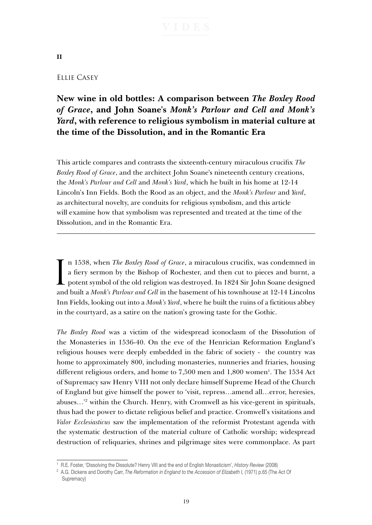# **II**

## Ellie Casey

# **New wine in old bottles: A comparison between** *The Boxley Rood of Grace***, and John Soane's** *Monk's Parlour and Cell and Monk's Yard***, with reference to religious symbolism in material culture at the time of the Dissolution, and in the Romantic Era**

This article compares and contrasts the sixteenth-century miraculous crucifix *The Boxley Rood of Grace*, and the architect John Soane's nineteenth century creations, the *Monk's Parlour and Cell* and *Monk's Yard*, which he built in his home at 12-14 Lincoln's Inn Fields. Both the Rood as an object, and the *Monk's Parlour* and *Yard*, as architectural novelty, are conduits for religious symbolism, and this article will examine how that symbolism was represented and treated at the time of the Dissolution, and in the Romantic Era.

I n 1538, when *The Boxley Rood of Grace*, a miraculous crucifix, was condemned in a fiery sermon by the Bishop of Rochester, and then cut to pieces and burnt, a potent symbol of the old religion was destroyed. In 1824 Sir John Soane designed and built a *Monk's Parlour and Cell* in the basement of his townhouse at 12-14 Lincolns Inn Fields, looking out into a *Monk's Yard*, where he built the ruins of a fictitious abbey in the courtyard, as a satire on the nation's growing taste for the Gothic.

*The Boxley Rood* was a victim of the widespread iconoclasm of the Dissolution of the Monasteries in 1536-40. On the eve of the Henrician Reformation England's religious houses were deeply embedded in the fabric of society - the country was home to approximately 800, including monasteries, nunneries and friaries, housing different religious orders, and home to 7,500 men and 1,800 women<sup>1</sup>. The 1534 Act of Supremacy saw Henry VIII not only declare himself Supreme Head of the Church of England but give himself the power to 'visit, repress…amend all…error, heresies, abuses…'2 within the Church. Henry, with Cromwell as his vice-gerent in spirituals, thus had the power to dictate religious belief and practice. Cromwell's visitations and *Valor Ecclesiasticus* saw the implementation of the reformist Protestant agenda with the systematic destruction of the material culture of Catholic worship; widespread destruction of reliquaries, shrines and pilgrimage sites were commonplace. As part

<sup>1</sup> R.E. Foster, 'Dissolving the Dissolute? Henry VIII and the end of English Monasticism', *History Review* (2008)

<sup>&</sup>lt;sup>2</sup> A.G. Dickens and Dorothy Carr, *The Reformation in England to the Accession of Elizabeth I, (1971)* p.65 (The Act Of Supremacy)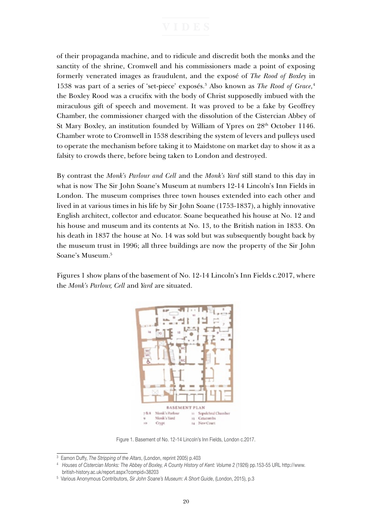of their propaganda machine, and to ridicule and discredit both the monks and the sanctity of the shrine, Cromwell and his commissioners made a point of exposing formerly venerated images as fraudulent, and the exposé of *The Rood of Boxley* in 1538 was part of a series of 'set-piece' exposés.3 Also known as *The Rood of Grace,*<sup>4</sup> the Boxley Rood was a crucifix with the body of Christ supposedly imbued with the miraculous gift of speech and movement. It was proved to be a fake by Geoffrey Chamber, the commissioner charged with the dissolution of the Cistercian Abbey of St Mary Boxley, an institution founded by William of Ypres on 28<sup>th</sup> October 1146. Chamber wrote to Cromwell in 1538 describing the system of levers and pulleys used to operate the mechanism before taking it to Maidstone on market day to show it as a falsity to crowds there, before being taken to London and destroyed.

By contrast the *Monk's Parlour and Cell* and the *Monk's Yard* still stand to this day in what is now The Sir John Soane's Museum at numbers 12-14 Lincoln's Inn Fields in London. The museum comprises three town houses extended into each other and lived in at various times in his life by Sir John Soane (1753-1837), a highly innovative English architect, collector and educator. Soane bequeathed his house at No. 12 and his house and museum and its contents at No. 13, to the British nation in 1833. On his death in 1837 the house at No. 14 was sold but was subsequently bought back by the museum trust in 1996; all three buildings are now the property of the Sir John Soane's Museum.5

Figures 1 show plans of the basement of No. 12-14 Lincoln's Inn Fields c.2017, where the *Monk's Parlour, Cell* and *Yard* are situated.



Figure 1. Basement of No. 12-14 Lincoln's Inn Fields, London c.2017.

<sup>3</sup> Eamon Duffy, *The Stripping of the Altars*, (London, reprint 2005) p.403

<sup>4</sup> *Houses of Cistercian Monks: The Abbey of Boxley, A County History of Kent: Volume 2* (1926) pp.153-55 URL http://www. british-history.ac.uk/report.aspx?compid=38203

<sup>5</sup> Various Anonymous Contributors, *Sir John Soane's Museum: A Short Guide*, (London, 2015), p.3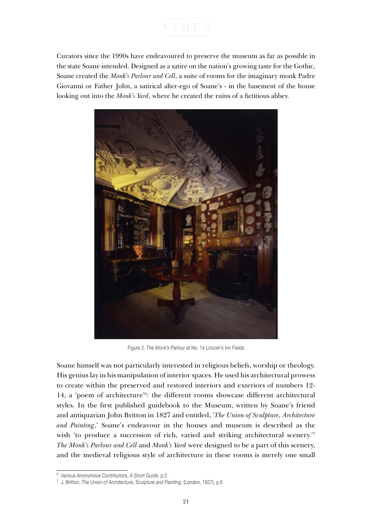Curators since the 1990s have endeavoured to preserve the museum as far as possible in the state Soane intended. Designed as a satire on the nation's growing taste for the Gothic, Soane created the *Monk's Parlour and Cell*, a suite of rooms for the imaginary monk Padre Giovanni or Father John, a satirical alter-ego of Soane's - in the basement of the house looking out into the *Monk's Yard*, where he created the ruins of a fictitious abbey.



Figure 2. *The Monk's Parlour* at No. 14 Lincoln's Inn Fields

Soane himself was not particularly interested in religious beliefs, worship or theology. His genius lay in his manipulation of interior spaces. He used his architectural prowess to create within the preserved and restored interiors and exteriors of numbers 12- 14, a 'poem of architecture'6 : the different rooms showcase different architectural styles. In the first published guidebook to the Museum, written by Soane's friend and antiquarian John Britton in 1827 and entitled, '*The Union of Sculpture, Architecture and Painting*,' Soane's endeavour in the houses and museum is described as the wish 'to produce a succession of rich, varied and striking architectural scenery.<sup>'7</sup> *The Monk's Parlour and Cell* and *Monk's Yard* were designed to be a part of this scenery, and the medieval religious style of architecture in these rooms is merely one small

<sup>6</sup> Various Anonymous Contributors, *A Short Guide*, p.2

<sup>7</sup> J. Britton, *The Union of Architecture, Sculpture and Painting*, (London, 1827), p.6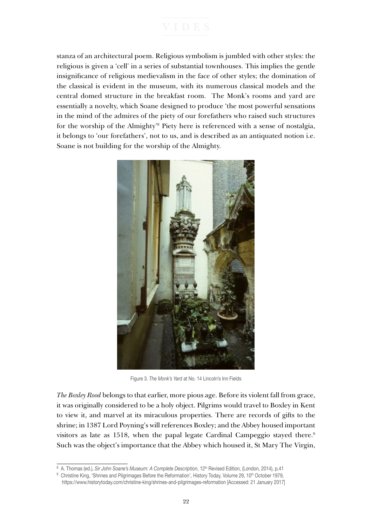stanza of an architectural poem. Religious symbolism is jumbled with other styles: the religious is given a 'cell' in a series of substantial townhouses. This implies the gentle insignificance of religious medievalism in the face of other styles; the domination of the classical is evident in the museum, with its numerous classical models and the central domed structure in the breakfast room. The Monk's rooms and yard are essentially a novelty, which Soane designed to produce 'the most powerful sensations in the mind of the admires of the piety of our forefathers who raised such structures for the worship of the Almighty'<sup>8</sup> Piety here is referenced with a sense of nostalgia, it belongs to 'our forefathers', not to us, and is described as an antiquated notion i.e. Soane is not building for the worship of the Almighty.



Figure 3. *The Monk's Yard* at No. 14 Lincoln's Inn Fields

*The Boxley Rood* belongs to that earlier, more pious age. Before its violent fall from grace, it was originally considered to be a holy object. Pilgrims would travel to Boxley in Kent to view it, and marvel at its miraculous properties. There are records of gifts to the shrine; in 1387 Lord Poyning's will references Boxley; and the Abbey housed important visitors as late as 1518, when the papal legate Cardinal Campeggio stayed there.<sup>9</sup> Such was the object's importance that the Abbey which housed it, St Mary The Virgin,

<sup>8</sup> A. Thomas (ed.), *Sir John Soane's Museum: A Complete Description*, 12<sup>th</sup> Revised Edition, (London, 2014), p.41

<sup>9</sup> Christine King, 'Shrines and Pilgrimages Before the Reformation', History Today, Volume 29, 10<sup>th</sup> October 1979,

https://www.historytoday.com/christine-king/shrines-and-pilgrimages-reformation [Accessed: 21 January 2017]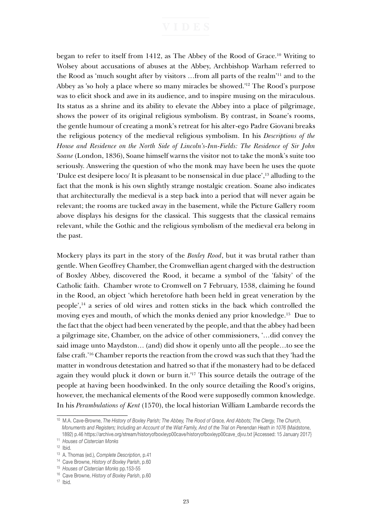began to refer to itself from 1412, as The Abbey of the Rood of Grace.10 Writing to Wolsey about accusations of abuses at the Abbey, Archbishop Warham referred to the Rood as 'much sought after by visitors …from all parts of the realm'11 and to the Abbey as 'so holy a place where so many miracles be showed.'12 The Rood's purpose was to elicit shock and awe in its audience, and to inspire musing on the miraculous. Its status as a shrine and its ability to elevate the Abbey into a place of pilgrimage, shows the power of its original religious symbolism. By contrast, in Soane's rooms, the gentle humour of creating a monk's retreat for his alter-ego Padre Giovani breaks the religious potency of the medieval religious symbolism. In his *Descriptions of the House and Residence on the North Side of Lincoln's-Inn-Fields: The Residence of Sir John Soane* (London, 1836), Soane himself warns the visitor not to take the monk's suite too seriously. Answering the question of who the monk may have been he uses the quote 'Dulce est desipere loco/ It is pleasant to be nonsensical in due place',13 alluding to the fact that the monk is his own slightly strange nostalgic creation. Soane also indicates that architecturally the medieval is a step back into a period that will never again be relevant; the rooms are tucked away in the basement, while the Picture Gallery room above displays his designs for the classical. This suggests that the classical remains relevant, while the Gothic and the religious symbolism of the medieval era belong in the past.

Mockery plays its part in the story of the *Boxley Rood*, but it was brutal rather than gentle. When Geoffrey Chamber, the Cromwellian agent charged with the destruction of Boxley Abbey, discovered the Rood, it became a symbol of the 'falsity' of the Catholic faith. Chamber wrote to Cromwell on 7 February, 1538, claiming he found in the Rood, an object 'which heretofore hath been held in great veneration by the people',14 a series of old wires and rotten sticks in the back which controlled the moving eyes and mouth, of which the monks denied any prior knowledge.15 Due to the fact that the object had been venerated by the people, and that the abbey had been a pilgrimage site, Chamber, on the advice of other commissioners, '…did convey the said image unto Maydston… (and) did show it openly unto all the people…to see the false craft.'16 Chamber reports the reaction from the crowd was such that they 'had the matter in wondrous detestation and hatred so that if the monastery had to be defaced again they would pluck it down or burn it.'17 This source details the outrage of the people at having been hoodwinked. In the only source detailing the Rood's origins, however, the mechanical elements of the Rood were supposedly common knowledge. In his *Perambulations of Kent* (1570), the local historian William Lambarde records the

<sup>10</sup> M.A. Cave-Browne, *The History of Boxley Parish; The Abbey, The Rood of Grace, And Abbots; The Clergy, The Church, Monuments and Registers; Including an Account of the Wiat Family, And of the Trial on Penendan Heath in 1076* (Maidstone, 1892) p.46 https://archive.org/stream/historyofboxleyp00cave/historyofboxleyp00cave\_djvu.txt [Accessed: 15 January 2017}

<sup>11</sup> *Houses of Cistercian Monks*

 $12$  Ibid.

<sup>13</sup> A. Thomas (ed.), *Complete Description*, p.41

<sup>14</sup> Cave Browne, *History of Boxley Parish*, p.60

<sup>&</sup>lt;sup>15</sup> Houses of Cistercian Monks pp.153-55<br><sup>16</sup> Cave Browne, *History of Boxley Parish*, p.60

 $17$  Ibid.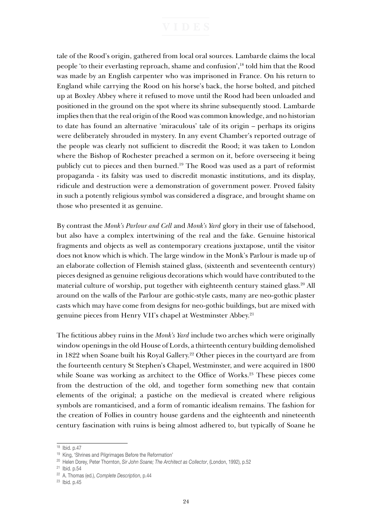tale of the Rood's origin, gathered from local oral sources. Lambarde claims the local people 'to their everlasting reproach, shame and confusion',18 told him that the Rood was made by an English carpenter who was imprisoned in France. On his return to England while carrying the Rood on his horse's back, the horse bolted, and pitched up at Boxley Abbey where it refused to move until the Rood had been unloaded and positioned in the ground on the spot where its shrine subsequently stood. Lambarde implies then that the real origin of the Rood was common knowledge, and no historian to date has found an alternative 'miraculous' tale of its origin – perhaps its origins were deliberately shrouded in mystery. In any event Chamber's reported outrage of the people was clearly not sufficient to discredit the Rood; it was taken to London where the Bishop of Rochester preached a sermon on it, before overseeing it being publicly cut to pieces and then burned.19 The Rood was used as a part of reformist propaganda - its falsity was used to discredit monastic institutions, and its display, ridicule and destruction were a demonstration of government power. Proved falsity in such a potently religious symbol was considered a disgrace, and brought shame on those who presented it as genuine.

By contrast the *Monk's Parlour and Cell* and *Monk's Yard* glory in their use of falsehood, but also have a complex intertwining of the real and the fake. Genuine historical fragments and objects as well as contemporary creations juxtapose, until the visitor does not know which is which. The large window in the Monk's Parlour is made up of an elaborate collection of Flemish stained glass, (sixteenth and seventeenth century) pieces designed as genuine religious decorations which would have contributed to the material culture of worship, put together with eighteenth century stained glass.20 All around on the walls of the Parlour are gothic-style casts, many are neo-gothic plaster casts which may have come from designs for neo-gothic buildings, but are mixed with genuine pieces from Henry VII's chapel at Westminster Abbey.<sup>21</sup>

The fictitious abbey ruins in the *Monk's Yard* include two arches which were originally window openings in the old House of Lords, a thirteenth century building demolished in 1822 when Soane built his Royal Gallery.<sup>22</sup> Other pieces in the courtyard are from the fourteenth century St Stephen's Chapel, Westminster, and were acquired in 1800 while Soane was working as architect to the Office of Works.<sup>23</sup> These pieces come from the destruction of the old, and together form something new that contain elements of the original; a pastiche on the medieval is created where religious symbols are romanticised, and a form of romantic idealism remains. The fashion for the creation of Follies in country house gardens and the eighteenth and nineteenth century fascination with ruins is being almost adhered to, but typically of Soane he

<sup>18</sup> Ibid. p.47

<sup>19</sup> King, 'Shrines and Pilgrimages Before the Reformation'

<sup>20</sup> Helen Dorey, Peter Thornton, *Sir John Soane; The Architect as Collector*, (London, 1992), p.52

<sup>21</sup> Ibid. p.54

<sup>22</sup> A. Thomas (ed.), *Complete Description*, p.44

<sup>23</sup> Ibid. p.45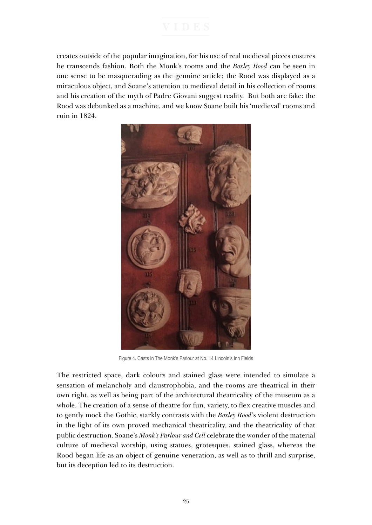creates outside of the popular imagination, for his use of real medieval pieces ensures he transcends fashion. Both the Monk's rooms and the *Boxley Rood* can be seen in one sense to be masquerading as the genuine article; the Rood was displayed as a miraculous object, and Soane's attention to medieval detail in his collection of rooms and his creation of the myth of Padre Giovani suggest reality. But both are fake: the Rood was debunked as a machine, and we know Soane built his 'medieval' rooms and ruin in 1824.



Figure 4. Casts in The Monk's Parlour at No. 14 Lincoln's Inn Fields

The restricted space, dark colours and stained glass were intended to simulate a sensation of melancholy and claustrophobia, and the rooms are theatrical in their own right, as well as being part of the architectural theatricality of the museum as a whole. The creation of a sense of theatre for fun, variety, to flex creative muscles and to gently mock the Gothic, starkly contrasts with the *Boxley Rood*'s violent destruction in the light of its own proved mechanical theatricality, and the theatricality of that public destruction. Soane's *Monk's Parlour and Cell* celebrate the wonder of the material culture of medieval worship, using statues, grotesques, stained glass, whereas the Rood began life as an object of genuine veneration, as well as to thrill and surprise, but its deception led to its destruction.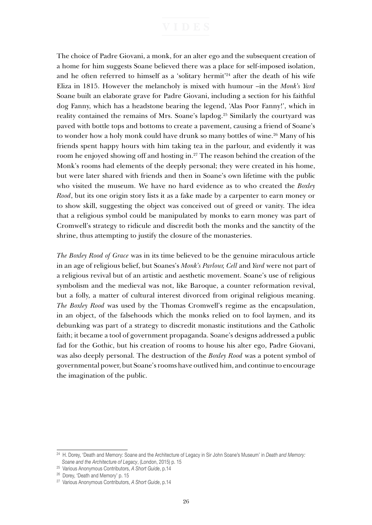The choice of Padre Giovani, a monk, for an alter ego and the subsequent creation of a home for him suggests Soane believed there was a place for self-imposed isolation, and he often referred to himself as a 'solitary hermit'<sup>24</sup> after the death of his wife Eliza in 1815. However the melancholy is mixed with humour –in the *Monk's Yard* Soane built an elaborate grave for Padre Giovani, including a section for his faithful dog Fanny, which has a headstone bearing the legend, 'Alas Poor Fanny!', which in reality contained the remains of Mrs. Soane's lapdog.25 Similarly the courtyard was paved with bottle tops and bottoms to create a pavement, causing a friend of Soane's to wonder how a holy monk could have drunk so many bottles of wine.<sup>26</sup> Many of his friends spent happy hours with him taking tea in the parlour, and evidently it was room he enjoyed showing off and hosting in.27 The reason behind the creation of the Monk's rooms had elements of the deeply personal; they were created in his home, but were later shared with friends and then in Soane's own lifetime with the public who visited the museum. We have no hard evidence as to who created the *Boxley Rood*, but its one origin story lists it as a fake made by a carpenter to earn money or to show skill, suggesting the object was conceived out of greed or vanity. The idea that a religious symbol could be manipulated by monks to earn money was part of Cromwell's strategy to ridicule and discredit both the monks and the sanctity of the shrine, thus attempting to justify the closure of the monasteries.

*The Boxley Rood of Grace* was in its time believed to be the genuine miraculous article in an age of religious belief, but Soanes's *Monk's Parlour, Cell* and *Yard* were not part of a religious revival but of an artistic and aesthetic movement. Soane's use of religious symbolism and the medieval was not, like Baroque, a counter reformation revival, but a folly, a matter of cultural interest divorced from original religious meaning. *The Boxley Rood* was used by the Thomas Cromwell's regime as the encapsulation, in an object, of the falsehoods which the monks relied on to fool laymen, and its debunking was part of a strategy to discredit monastic institutions and the Catholic faith; it became a tool of government propaganda. Soane's designs addressed a public fad for the Gothic, but his creation of rooms to house his alter ego, Padre Giovani, was also deeply personal. The destruction of the *Boxley Rood* was a potent symbol of governmental power, but Soane's rooms have outlived him, and continue to encourage the imagination of the public.

<sup>24</sup> H. Dorey, 'Death and Memory: Soane and the Architecture of Legacy in Sir John Soane's Museum' in *Death and Memory: Soane and the Architecture of Legacy*, (London, 2015) p. 15

<sup>25</sup> Various Anonymous Contributors, *A Short Guide*, p.14

<sup>26</sup> Dorey, 'Death and Memory' p. 15

<sup>27</sup> Various Anonymous Contributors, *A Short Guide*, p.14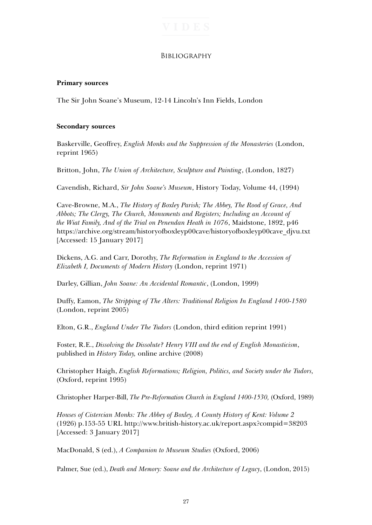### **BIBLIOGRAPHY**

### **Primary sources**

The Sir John Soane's Museum, 12-14 Lincoln's Inn Fields, London

### **Secondary sources**

Baskerville, Geoffrey, *English Monks and the Suppression of the Monasteries* (London, reprint 1965)

Britton, John, *The Union of Architecture, Sculpture and Painting*, (London, 1827)

Cavendish, Richard, *Sir John Soane's Museum*, History Today, Volume 44, (1994)

Cave-Browne, M.A., *The History of Boxley Parish; The Abbey, The Rood of Grace, And Abbots; The Clergy, The Church, Monuments and Registers; Including an Account of the Wiat Family, And of the Trial on Penendan Heath in 1076*, Maidstone, 1892, p46 https://archive.org/stream/historyofboxleyp00cave/historyofboxleyp00cave\_djvu.txt [Accessed: 15 January 2017]

Dickens, A.G. and Carr, Dorothy, *The Reformation in England to the Accession of Elizabeth I, Documents of Modern History* (London, reprint 1971)

Darley, Gillian, *John Soane: An Accidental Romantic*, (London, 1999)

Duffy, Eamon, *The Stripping of The Alters: Traditional Religion In England 1400-1580* (London, reprint 2005)

Elton, G.R., *England Under The Tudors* (London, third edition reprint 1991)

Foster, R.E., *Dissolving the Dissolute? Henry VIII and the end of English Monasticism*, published in *History Today,* online archive (2008)

Christopher Haigh, *English Reformations; Religion, Politics, and Society under the Tudors,*  (Oxford, reprint 1995)

Christopher Harper-Bill, *The Pre-Reformation Church in England 1400-1530,* (Oxford, 1989)

*Houses of Cistercian Monks: The Abbey of Boxley, A County History of Kent: Volume 2* (1926) p.153-55 URL http://www.british-history.ac.uk/report.aspx?compid=38203 [Accessed: 3 January 2017]

MacDonald, S (ed.), *A Companion to Museum Studies* (Oxford, 2006)

Palmer, Sue (ed.), *Death and Memory: Soane and the Architecture of Legacy*, (London, 2015)